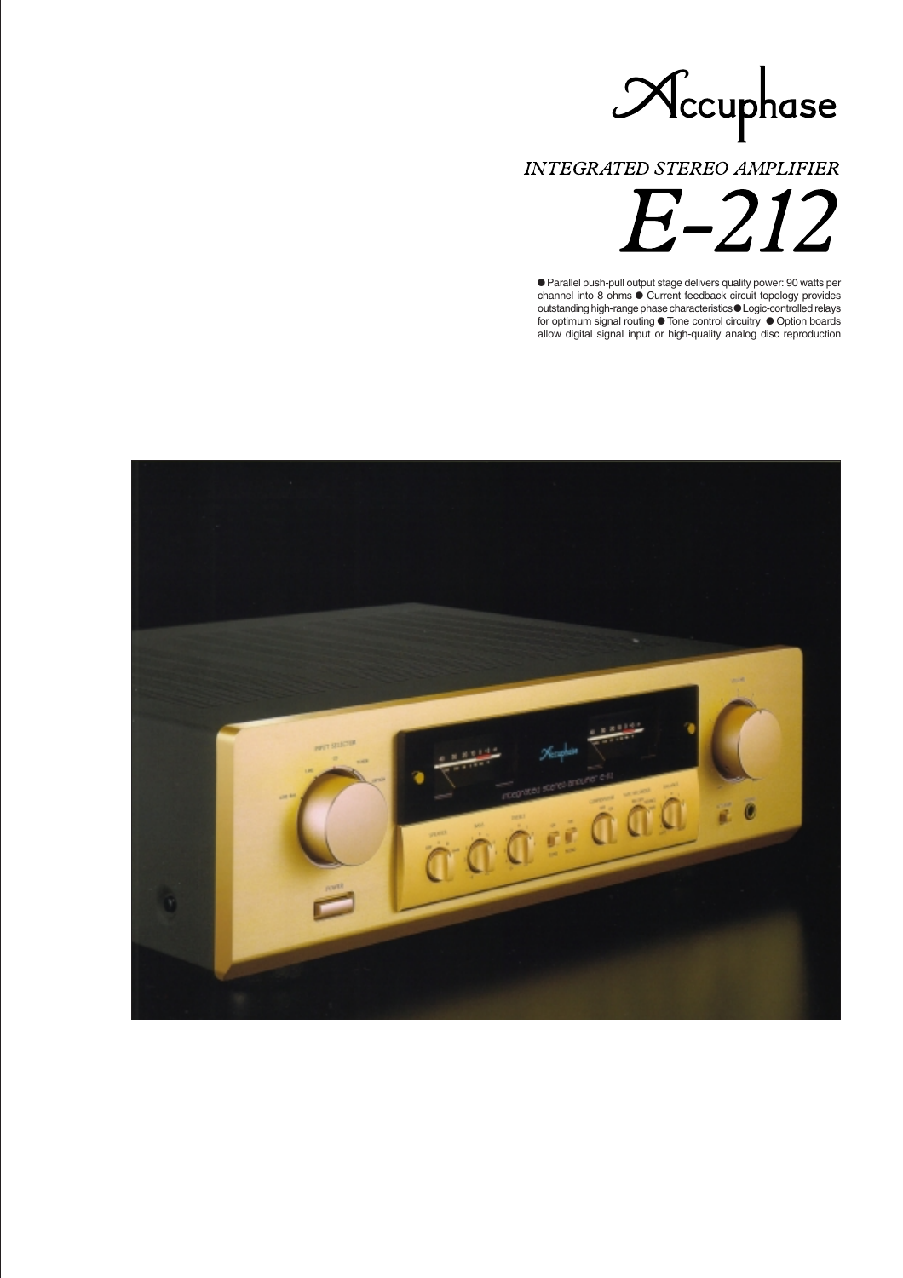

INTEGRATED STEREO AMPLIFIER

E-212

 Parallel push-pull output stage delivers quality power: 90 watts per channel into 8 ohms  $\bullet$  Current feedback circuit topology provides outstanding high-range phase characteristics Logic-controlled relays for optimum signal routing  $\bullet$  Tone control circuitry  $\bullet$  Option boards allow digital signal input or high-quality analog disc reproduction

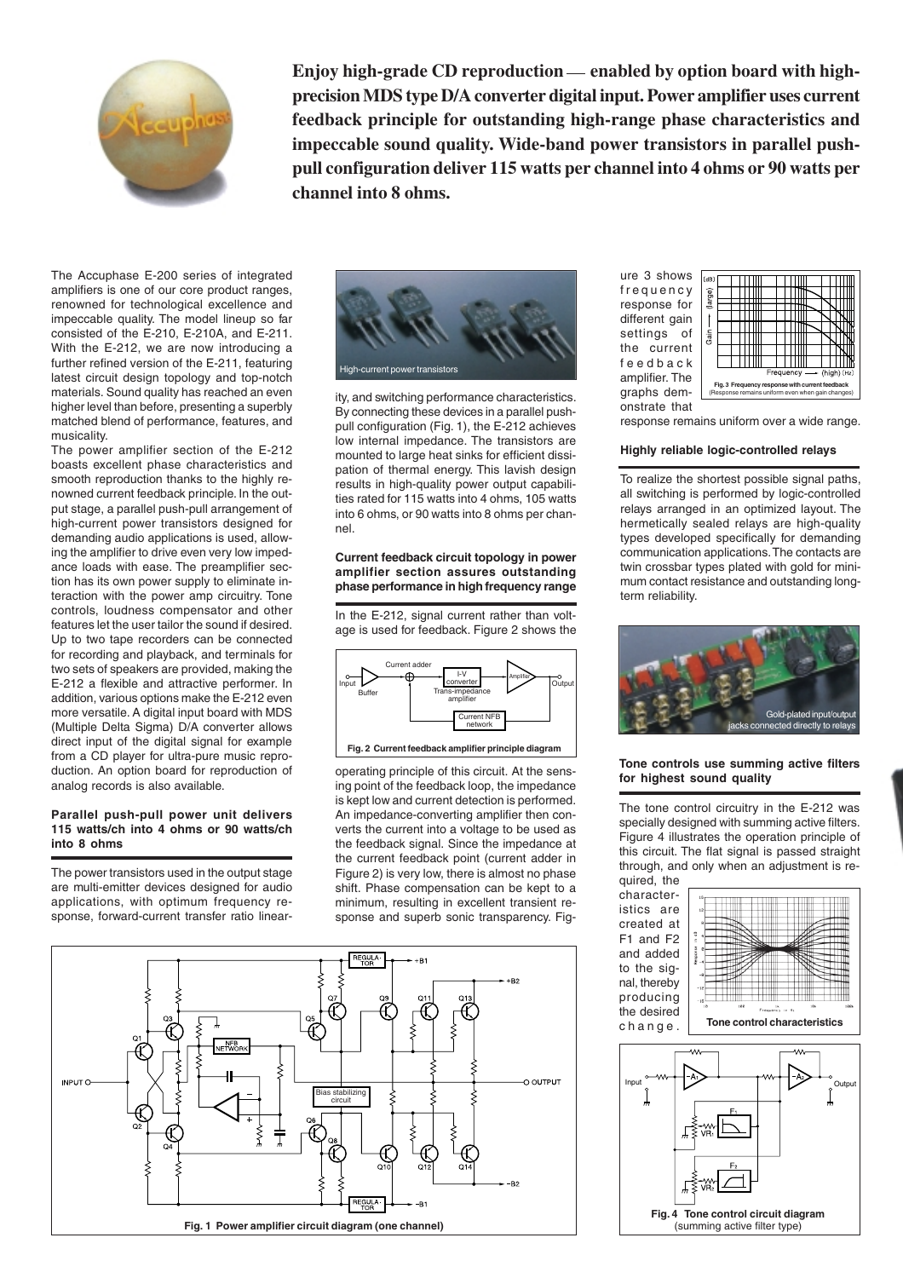

**Enjoy high-grade CD reproduction — enabled by option board with highprecision MDS type D/A converter digital input. Power amplifier uses current feedback principle for outstanding high-range phase characteristics and impeccable sound quality. Wide-band power transistors in parallel pushpull configuration deliver 115 watts per channel into 4 ohms or 90 watts per channel into 8 ohms.**

The Accuphase E-200 series of integrated amplifiers is one of our core product ranges, renowned for technological excellence and impeccable quality. The model lineup so far consisted of the E-210, E-210A, and E-211. With the E-212, we are now introducing a further refined version of the E-211, featuring latest circuit design topology and top-notch materials. Sound quality has reached an even higher level than before, presenting a superbly matched blend of performance, features, and musicality.

The power amplifier section of the E-212 boasts excellent phase characteristics and smooth reproduction thanks to the highly renowned current feedback principle. In the output stage, a parallel push-pull arrangement of high-current power transistors designed for demanding audio applications is used, allowing the amplifier to drive even very low impedance loads with ease. The preamplifier section has its own power supply to eliminate interaction with the power amp circuitry. Tone controls, loudness compensator and other features let the user tailor the sound if desired. Up to two tape recorders can be connected for recording and playback, and terminals for two sets of speakers are provided, making the E-212 a flexible and attractive performer. In addition, various options make the E-212 even more versatile. A digital input board with MDS (Multiple Delta Sigma) D/A converter allows direct input of the digital signal for example from a CD player for ultra-pure music reproduction. An option board for reproduction of analog records is also available.

#### **Parallel push-pull power unit delivers 115 watts/ch into 4 ohms or 90 watts/ch into 8 ohms**

The power transistors used in the output stage are multi-emitter devices designed for audio applications, with optimum frequency response, forward-current transfer ratio linear-



ity, and switching performance characteristics. By connecting these devices in a parallel pushpull configuration (Fig. 1), the E-212 achieves low internal impedance. The transistors are mounted to large heat sinks for efficient dissipation of thermal energy. This lavish design results in high-quality power output capabilities rated for 115 watts into 4 ohms, 105 watts into 6 ohms, or 90 watts into 8 ohms per channel.

### **Current feedback circuit topology in power amplifier section assures outstanding phase performance in high frequency range**

In the E-212, signal current rather than voltage is used for feedback. Figure 2 shows the



operating principle of this circuit. At the sensing point of the feedback loop, the impedance is kept low and current detection is performed. An impedance-converting amplifier then converts the current into a voltage to be used as the feedback signal. Since the impedance at the current feedback point (current adder in Figure 2) is very low, there is almost no phase shift. Phase compensation can be kept to a minimum, resulting in excellent transient response and superb sonic transparency. Fig-



ure 3 shows frequency response for different gain settings of the current feedback amplifier. The graphs demonstrate that



response remains uniform over a wide range.

## **Highly reliable logic-controlled relays**

To realize the shortest possible signal paths, all switching is performed by logic-controlled relays arranged in an optimized layout. The hermetically sealed relays are high-quality types developed specifically for demanding communication applications. The contacts are twin crossbar types plated with gold for minimum contact resistance and outstanding longterm reliability.



## **Tone controls use summing active filters for highest sound quality**

The tone control circuitry in the E-212 was specially designed with summing active filters. Figure 4 illustrates the operation principle of this circuit. The flat signal is passed straight through, and only when an adjustment is required, the

characteristics are created at F1 and F2 and added to the signal, thereby producing the desired change.



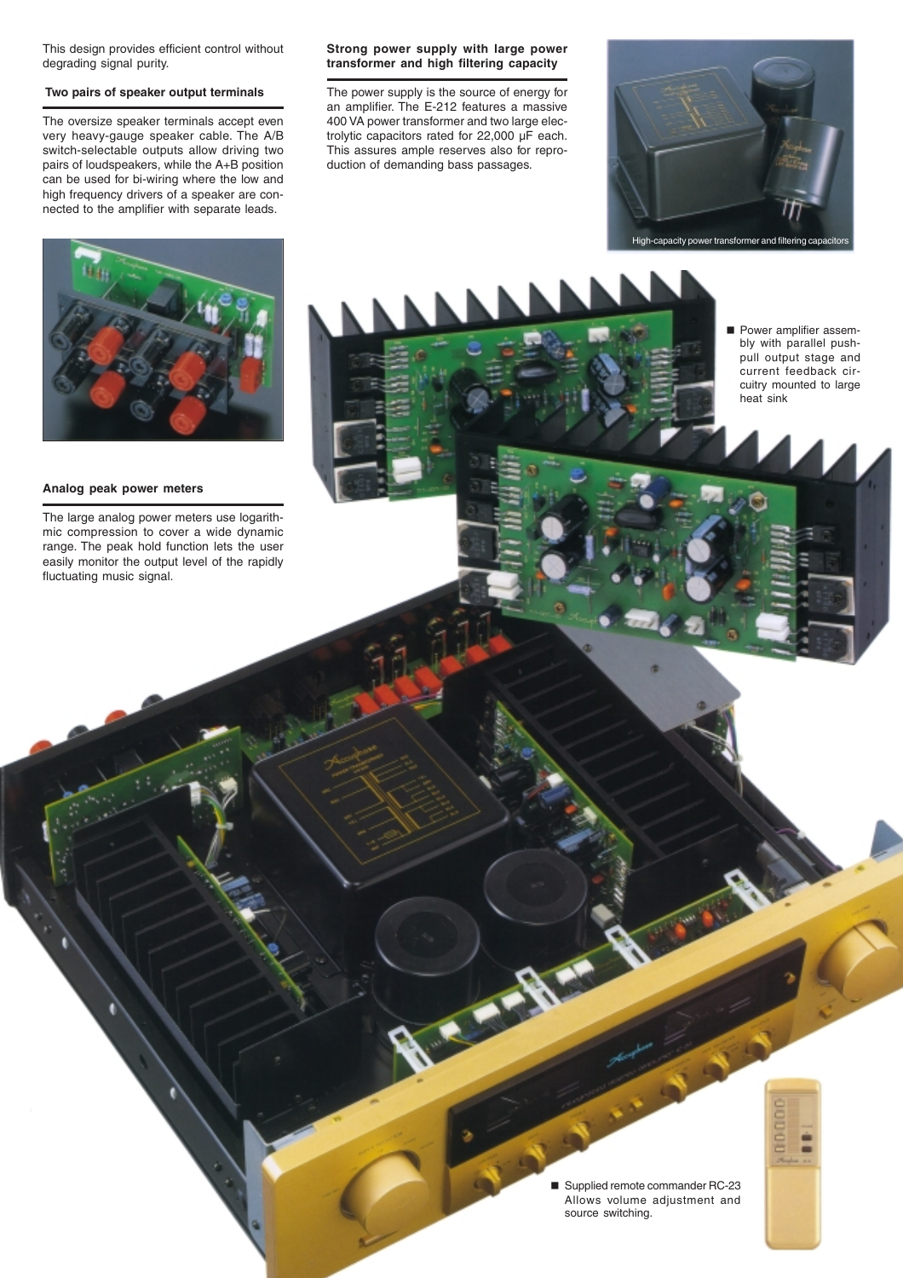This design provides efficient control without degrading signal purity.

# **Two pairs of speaker output terminals**

The oversize speaker terminals accept even very heavy-gauge speaker cable. The A/B switch-selectable outputs allow driving two pairs of loudspeakers, while the A+B position can be used for bi-wiring where the low and high frequency drivers of a speaker are connected to the amplifier with separate leads.

# **Strong power supply with large power transformer and high filtering capacity**

The power supply is the source of energy for an amplifier. The E-212 features a massive 400 VA power transformer and two large electrolytic capacitors rated for 22,000 µF each. This assures ample reserves also for reproduction of demanding bass passages.





# **Analog peak power meters**

The large analog power meters use logarithmic compression to cover a wide dynamic range. The peak hold function lets the user easily monitor the output level of the rapidly fluctuating music signal.

**Power amplifier assem**bly with parallel pushpull output stage and current feedback circuitry mounted to large heat sink